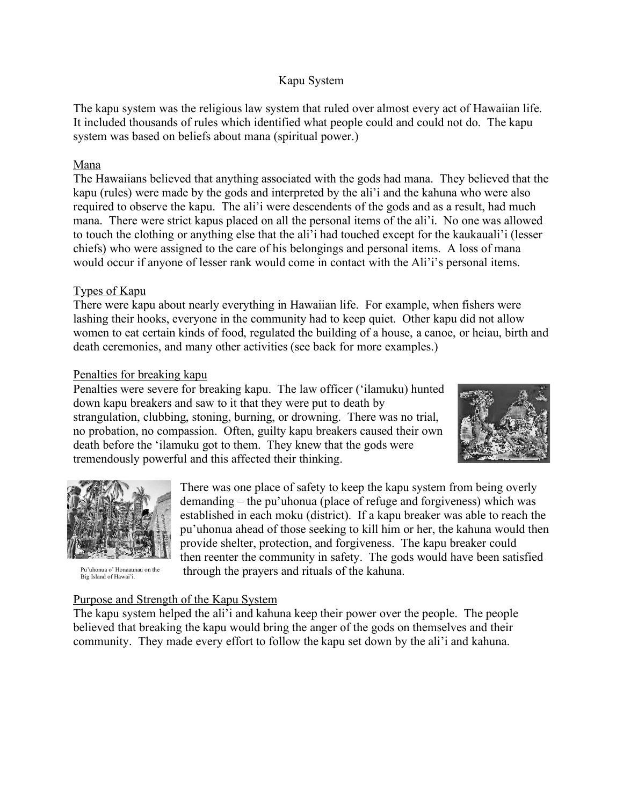# Kapu System

The kapu system was the religious law system that ruled over almost every act of Hawaiian life. It included thousands of rules which identified what people could and could not do. The kapu system was based on beliefs about mana (spiritual power.)

# Mana

The Hawaiians believed that anything associated with the gods had mana. They believed that the kapu (rules) were made by the gods and interpreted by the ali'i and the kahuna who were also required to observe the kapu. The ali'i were descendents of the gods and as a result, had much mana. There were strict kapus placed on all the personal items of the ali'i. No one was allowed to touch the clothing or anything else that the ali'i had touched except for the kaukauali'i (lesser chiefs) who were assigned to the care of his belongings and personal items. A loss of mana would occur if anyone of lesser rank would come in contact with the Ali'i's personal items.

### Types of Kapu

There were kapu about nearly everything in Hawaiian life. For example, when fishers were lashing their hooks, everyone in the community had to keep quiet. Other kapu did not allow women to eat certain kinds of food, regulated the building of a house, a canoe, or heiau, birth and death ceremonies, and many other activities (see back for more examples.)

# Penalties for breaking kapu

Penalties were severe for breaking kapu. The law officer ('ilamuku) hunted down kapu breakers and saw to it that they were put to death by strangulation, clubbing, stoning, burning, or drowning. There was no trial, no probation, no compassion. Often, guilty kapu breakers caused their own death before the 'ilamuku got to them. They knew that the gods were tremendously powerful and this affected their thinking.





Pu'uhonua o' Honaaunau on the Big Island of Hawai'i.

There was one place of safety to keep the kapu system from being overly demanding – the pu'uhonua (place of refuge and forgiveness) which was established in each moku (district). If a kapu breaker was able to reach the pu'uhonua ahead of those seeking to kill him or her, the kahuna would then provide shelter, protection, and forgiveness. The kapu breaker could then reenter the community in safety. The gods would have been satisfied through the prayers and rituals of the kahuna.

### Purpose and Strength of the Kapu System

The kapu system helped the ali'i and kahuna keep their power over the people. The people believed that breaking the kapu would bring the anger of the gods on themselves and their community. They made every effort to follow the kapu set down by the ali'i and kahuna.